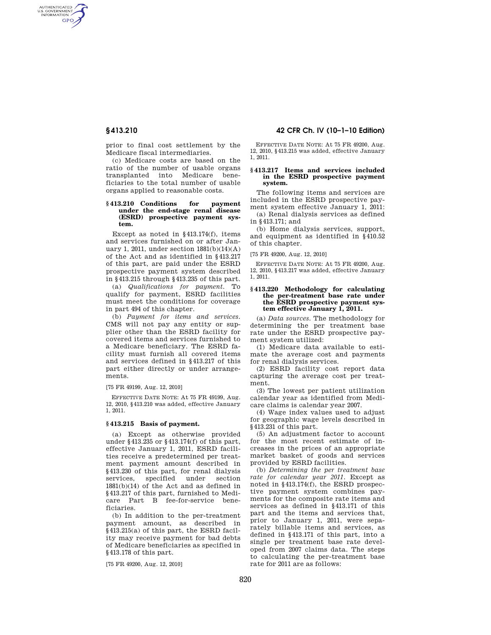AUTHENTICATED<br>U.S. GOVERNMENT<br>INFORMATION **GPO** 

> prior to final cost settlement by the Medicare fiscal intermediaries.

> (c) Medicare costs are based on the ratio of the number of usable organs transplanted into Medicare beneficiaries to the total number of usable organs applied to reasonable costs.

## **§ 413.210 Conditions for payment under the end-stage renal disease (ESRD) prospective payment system.**

Except as noted in §413.174(f), items and services furnished on or after January 1, 2011, under section  $1881(b)(14)(A)$ of the Act and as identified in §413.217 of this part, are paid under the ESRD prospective payment system described in §413.215 through §413.235 of this part.

(a) *Qualifications for payment.* To qualify for payment, ESRD facilities must meet the conditions for coverage in part 494 of this chapter.

(b) *Payment for items and services.*  CMS will not pay any entity or supplier other than the ESRD facility for covered items and services furnished to a Medicare beneficiary. The ESRD facility must furnish all covered items and services defined in §413.217 of this part either directly or under arrangements.

[75 FR 49199, Aug. 12, 2010]

EFFECTIVE DATE NOTE: At 75 FR 49199, Aug. 12, 2010, §413.210 was added, effective January 1, 2011.

## **§ 413.215 Basis of payment.**

(a) Except as otherwise provided under §413.235 or §413.174(f) of this part, effective January 1, 2011, ESRD facilities receive a predetermined per treatment payment amount described in §413.230 of this part, for renal dialysis services, specified under section 1881(b)(14) of the Act and as defined in §413.217 of this part, furnished to Medicare Part B fee-for-service beneficiaries.

(b) In addition to the per-treatment payment amount, as described in §413.215(a) of this part, the ESRD facility may receive payment for bad debts of Medicare beneficiaries as specified in §413.178 of this part.

[75 FR 49200, Aug. 12, 2010]

## **§ 413.210 42 CFR Ch. IV (10–1–10 Edition)**

EFFECTIVE DATE NOTE: At 75 FR 49200, Aug. 12, 2010, §413.215 was added, effective January 1, 2011.

#### **§ 413.217 Items and services included in the ESRD prospective payment system.**

The following items and services are included in the ESRD prospective payment system effective January 1, 2011:

(a) Renal dialysis services as defined in §413.171; and

(b) Home dialysis services, support, and equipment as identified in §410.52 of this chapter.

[75 FR 49200, Aug. 12, 2010]

EFFECTIVE DATE NOTE: At 75 FR 49200, Aug. 12, 2010, §413.217 was added, effective January 1, 2011.

#### **§ 413.220 Methodology for calculating the per-treatment base rate under the ESRD prospective payment system effective January 1, 2011.**

(a) *Data sources.* The methodology for determining the per treatment base rate under the ESRD prospective payment system utilized:

(1) Medicare data available to estimate the average cost and payments for renal dialysis services.

(2) ESRD facility cost report data capturing the average cost per treatment.

(3) The lowest per patient utilization calendar year as identified from Medicare claims is calendar year 2007.

(4) Wage index values used to adjust for geographic wage levels described in §413.231 of this part.

(5) An adjustment factor to account for the most recent estimate of increases in the prices of an appropriate market basket of goods and services provided by ESRD facilities.

(b) *Determining the per treatment base rate for calendar year 2011.* Except as noted in §413.174(f), the ESRD prospective payment system combines payments for the composite rate items and services as defined in §413.171 of this part and the items and services that, prior to January 1, 2011, were separately billable items and services, as defined in §413.171 of this part, into a single per treatment base rate developed from 2007 claims data. The steps to calculating the per-treatment base rate for 2011 are as follows: